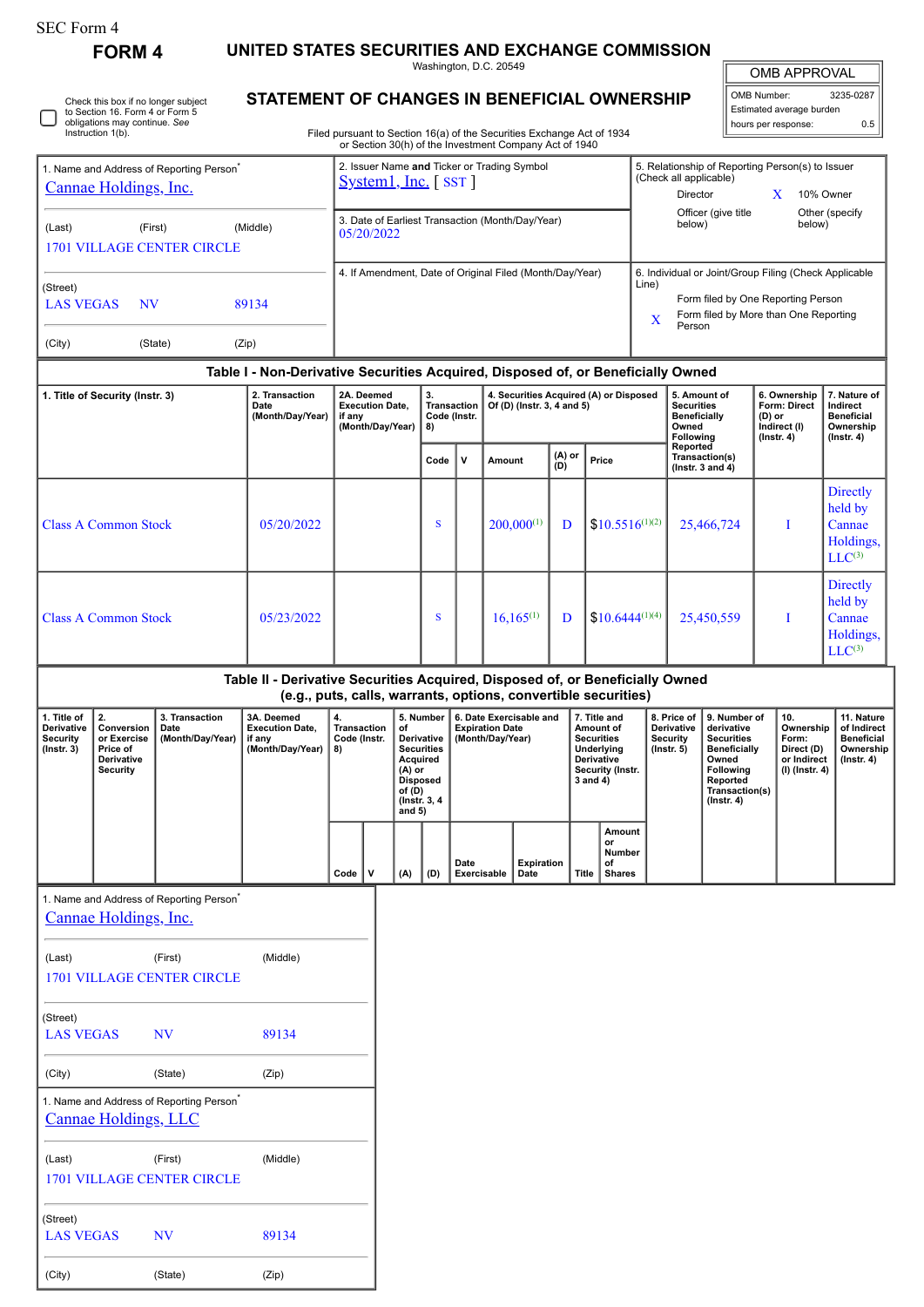| SEC Form 4 |
|------------|
|------------|

**FORM 4 UNITED STATES SECURITIES AND EXCHANGE COMMISSION** Washington, D.C. 20549

|  | Check this box if no longer subject<br>to Section 16. Form 4 or Form 5<br>obligations may continue. See<br>Instruction 1(b). |
|--|------------------------------------------------------------------------------------------------------------------------------|
|--|------------------------------------------------------------------------------------------------------------------------------|

(City) (State) (Zip)

## **STATEMENT OF CHANGES IN BENEFICIAL OWNERSHIP**

Filed pursuant to Section 16(a) of the Securities Exchange Act of 1934 or Section 30(h) of the Investment Company Act of 1940

| <b>OMB APPROVAL</b> |                          |
|---------------------|--------------------------|
|                     |                          |
| OMB Number:         | 3235-0287                |
|                     |                          |
| hours per response: | ሰ 5                      |
|                     | Estimated average burden |

|                                                                               |                                                                                                                            |                                                      |                                                                                                                                                 |                                                                    |                                                                      |                                                                                                                                      |             |                                                                      |                 | or Section 30(h) of the Investment Company Act of 1940 |               |                                                                                                                |                                                                                                     |                                                                                                                                                                                                                          |                                                                              |                                                                            |                                                                                |                                                                                 |  |  |
|-------------------------------------------------------------------------------|----------------------------------------------------------------------------------------------------------------------------|------------------------------------------------------|-------------------------------------------------------------------------------------------------------------------------------------------------|--------------------------------------------------------------------|----------------------------------------------------------------------|--------------------------------------------------------------------------------------------------------------------------------------|-------------|----------------------------------------------------------------------|-----------------|--------------------------------------------------------|---------------|----------------------------------------------------------------------------------------------------------------|-----------------------------------------------------------------------------------------------------|--------------------------------------------------------------------------------------------------------------------------------------------------------------------------------------------------------------------------|------------------------------------------------------------------------------|----------------------------------------------------------------------------|--------------------------------------------------------------------------------|---------------------------------------------------------------------------------|--|--|
| 1. Name and Address of Reporting Person <sup>*</sup><br>Cannae Holdings, Inc. |                                                                                                                            |                                                      |                                                                                                                                                 |                                                                    | 2. Issuer Name and Ticker or Trading Symbol<br>$System1, Inc.$ [SST] |                                                                                                                                      |             |                                                                      |                 |                                                        |               |                                                                                                                |                                                                                                     | 5. Relationship of Reporting Person(s) to Issuer<br>(Check all applicable)<br>Director<br>X<br>10% Owner                                                                                                                 |                                                                              |                                                                            |                                                                                |                                                                                 |  |  |
| (First)<br>(Middle)<br>(Last)<br><b>1701 VILLAGE CENTER CIRCLE</b>            |                                                                                                                            |                                                      |                                                                                                                                                 |                                                                    | 3. Date of Earliest Transaction (Month/Day/Year)<br>05/20/2022       |                                                                                                                                      |             |                                                                      |                 |                                                        |               |                                                                                                                |                                                                                                     | below)                                                                                                                                                                                                                   | Officer (give title                                                          |                                                                            | below)                                                                         | Other (specify                                                                  |  |  |
|                                                                               |                                                                                                                            |                                                      |                                                                                                                                                 | 4. If Amendment, Date of Original Filed (Month/Day/Year)           |                                                                      |                                                                                                                                      |             |                                                                      |                 |                                                        |               |                                                                                                                |                                                                                                     | 6. Individual or Joint/Group Filing (Check Applicable                                                                                                                                                                    |                                                                              |                                                                            |                                                                                |                                                                                 |  |  |
| (Street)<br><b>LAS VEGAS</b><br><b>NV</b><br>89134                            |                                                                                                                            |                                                      |                                                                                                                                                 |                                                                    |                                                                      |                                                                                                                                      |             |                                                                      |                 |                                                        |               |                                                                                                                | Line)<br>Form filed by One Reporting Person<br>Form filed by More than One Reporting<br>X<br>Person |                                                                                                                                                                                                                          |                                                                              |                                                                            |                                                                                |                                                                                 |  |  |
| (City)                                                                        |                                                                                                                            | (State)                                              | (Zip)                                                                                                                                           |                                                                    |                                                                      |                                                                                                                                      |             |                                                                      |                 |                                                        |               |                                                                                                                |                                                                                                     |                                                                                                                                                                                                                          |                                                                              |                                                                            |                                                                                |                                                                                 |  |  |
|                                                                               |                                                                                                                            |                                                      | Table I - Non-Derivative Securities Acquired, Disposed of, or Beneficially Owned                                                                |                                                                    |                                                                      |                                                                                                                                      |             |                                                                      |                 |                                                        |               |                                                                                                                |                                                                                                     |                                                                                                                                                                                                                          |                                                                              |                                                                            |                                                                                |                                                                                 |  |  |
| 1. Title of Security (Instr. 3)                                               |                                                                                                                            | 2. Transaction<br>Date<br>(Month/Day/Year)           |                                                                                                                                                 | 2A. Deemed<br><b>Execution Date,</b><br>if any<br>(Month/Day/Year) |                                                                      | 3.<br><b>Transaction</b><br>Code (Instr.<br>8)                                                                                       |             | 4. Securities Acquired (A) or Disposed<br>Of (D) (Instr. 3, 4 and 5) |                 |                                                        |               |                                                                                                                | 5. Amount of<br><b>Securities</b><br><b>Beneficially</b><br>Owned<br>Following                      |                                                                                                                                                                                                                          | 6. Ownership<br>Form: Direct<br>$(D)$ or<br>Indirect (I)<br>$($ Instr. 4 $)$ |                                                                            | 7. Nature of<br>Indirect<br><b>Beneficial</b><br>Ownership<br>$($ Instr. 4 $)$ |                                                                                 |  |  |
|                                                                               |                                                                                                                            |                                                      |                                                                                                                                                 |                                                                    |                                                                      |                                                                                                                                      | Code        | $\mathsf{v}$                                                         | Amount          |                                                        | (A) or<br>(D) | Price                                                                                                          |                                                                                                     | Reported<br>Transaction(s)<br>( $lnstr. 3 and 4$ )                                                                                                                                                                       |                                                                              |                                                                            |                                                                                |                                                                                 |  |  |
| <b>Class A Common Stock</b>                                                   |                                                                                                                            |                                                      | 05/20/2022                                                                                                                                      |                                                                    |                                                                      | S                                                                                                                                    |             |                                                                      | $200,000^{(1)}$ | D                                                      |               | $$10.5516^{(1)(2)}$                                                                                            | 25,466,724                                                                                          |                                                                                                                                                                                                                          | T                                                                            |                                                                            | <b>Directly</b><br>held by<br>Cannae<br>Holdings,<br>$LLC^{(3)}$               |                                                                                 |  |  |
| <b>Class A Common Stock</b>                                                   |                                                                                                                            |                                                      | 05/23/2022                                                                                                                                      |                                                                    |                                                                      |                                                                                                                                      | $\mathbf S$ |                                                                      |                 | $16,165^{(1)}$                                         | D             | $$10.6444^{(1)(4)}$                                                                                            |                                                                                                     | 25,450,559                                                                                                                                                                                                               |                                                                              |                                                                            | 1                                                                              | <b>Directly</b><br>held by<br>Cannae<br>Holdings,<br>$LLC^{(3)}$                |  |  |
|                                                                               |                                                                                                                            |                                                      | Table II - Derivative Securities Acquired, Disposed of, or Beneficially Owned<br>(e.g., puts, calls, warrants, options, convertible securities) |                                                                    |                                                                      |                                                                                                                                      |             |                                                                      |                 |                                                        |               |                                                                                                                |                                                                                                     |                                                                                                                                                                                                                          |                                                                              |                                                                            |                                                                                |                                                                                 |  |  |
| 1. Title of<br><b>Derivative</b><br><b>Security</b><br>$($ Instr. 3 $)$       | 2.<br>3. Transaction<br>Conversion<br>Date<br>(Month/Day/Year)<br>or Exercise<br>Price of<br>Derivative<br><b>Security</b> |                                                      | 3A. Deemed<br><b>Execution Date,</b><br>if any<br>(Month/Day/Year)                                                                              | 4.<br>Transaction<br>Code (Instr.<br>8)                            |                                                                      | 5. Number<br>of<br>Derivative<br><b>Securities</b><br>Acquired<br>$(A)$ or<br><b>Disposed</b><br>of (D)<br>(Instr. 3, 4)<br>and $5)$ |             | <b>Expiration Date</b><br>(Month/Day/Year)                           |                 | 6. Date Exercisable and                                |               | 7. Title and<br>Amount of<br><b>Securities</b><br>Underlying<br>Derivative<br>Security (Instr.<br>$3$ and $4)$ |                                                                                                     | 8. Price of<br>9. Number of<br><b>Derivative</b><br>derivative<br><b>Security</b><br><b>Securities</b><br>$($ Instr. $5)$<br><b>Beneficially</b><br>Owned<br>Following<br>Reported<br>Transaction(s)<br>$($ Instr. 4 $)$ |                                                                              | 10.<br>Ownership<br>Form:<br>Direct (D)<br>or Indirect<br>$(I)$ (Instr. 4) |                                                                                | 11. Nature<br>of Indirect<br><b>Beneficial</b><br>Ownership<br>$($ lnstr. 4 $)$ |  |  |
|                                                                               |                                                                                                                            |                                                      |                                                                                                                                                 | Code                                                               | ١v                                                                   | (A)                                                                                                                                  | (D)         | Date<br>Exercisable                                                  |                 | <b>Expiration</b><br>Date                              |               | Amount<br>or<br>Number<br>of<br><b>Shares</b><br><b>Title</b>                                                  |                                                                                                     |                                                                                                                                                                                                                          |                                                                              |                                                                            |                                                                                |                                                                                 |  |  |
|                                                                               | Cannae Holdings, Inc.                                                                                                      | 1. Name and Address of Reporting Person <sup>®</sup> |                                                                                                                                                 |                                                                    |                                                                      |                                                                                                                                      |             |                                                                      |                 |                                                        |               |                                                                                                                |                                                                                                     |                                                                                                                                                                                                                          |                                                                              |                                                                            |                                                                                |                                                                                 |  |  |
| (Last)                                                                        |                                                                                                                            | (First)<br>1701 VILLAGE CENTER CIRCLE                | (Middle)                                                                                                                                        |                                                                    |                                                                      |                                                                                                                                      |             |                                                                      |                 |                                                        |               |                                                                                                                |                                                                                                     |                                                                                                                                                                                                                          |                                                                              |                                                                            |                                                                                |                                                                                 |  |  |
| (Street)<br><b>LAS VEGAS</b>                                                  |                                                                                                                            | <b>NV</b>                                            | 89134                                                                                                                                           |                                                                    |                                                                      |                                                                                                                                      |             |                                                                      |                 |                                                        |               |                                                                                                                |                                                                                                     |                                                                                                                                                                                                                          |                                                                              |                                                                            |                                                                                |                                                                                 |  |  |
| (City)                                                                        |                                                                                                                            | (State)                                              | (Zip)                                                                                                                                           |                                                                    |                                                                      |                                                                                                                                      |             |                                                                      |                 |                                                        |               |                                                                                                                |                                                                                                     |                                                                                                                                                                                                                          |                                                                              |                                                                            |                                                                                |                                                                                 |  |  |
|                                                                               | Cannae Holdings, LLC                                                                                                       | 1. Name and Address of Reporting Person <sup>*</sup> |                                                                                                                                                 |                                                                    |                                                                      |                                                                                                                                      |             |                                                                      |                 |                                                        |               |                                                                                                                |                                                                                                     |                                                                                                                                                                                                                          |                                                                              |                                                                            |                                                                                |                                                                                 |  |  |
| (Last)                                                                        |                                                                                                                            | (First)<br><b>1701 VILLAGE CENTER CIRCLE</b>         | (Middle)                                                                                                                                        |                                                                    |                                                                      |                                                                                                                                      |             |                                                                      |                 |                                                        |               |                                                                                                                |                                                                                                     |                                                                                                                                                                                                                          |                                                                              |                                                                            |                                                                                |                                                                                 |  |  |
| (Street)<br><b>LAS VEGAS</b>                                                  |                                                                                                                            | <b>NV</b>                                            | 89134                                                                                                                                           |                                                                    |                                                                      |                                                                                                                                      |             |                                                                      |                 |                                                        |               |                                                                                                                |                                                                                                     |                                                                                                                                                                                                                          |                                                                              |                                                                            |                                                                                |                                                                                 |  |  |